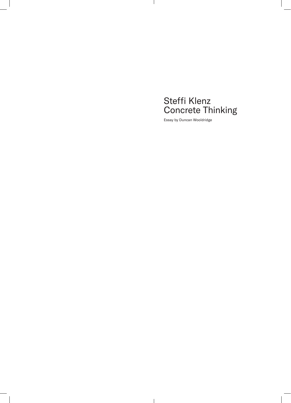## Steffi Klenz Concrete Thinking

Essay by Duncan Wooldridge

 $\mathbf{I}$ 

 $\mathbf{I}$ 

 $\overline{\phantom{a}}$